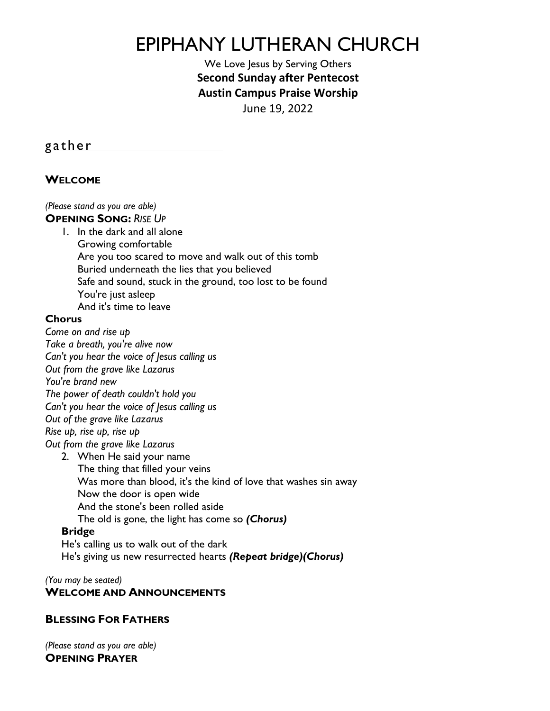# EPIPHANY LUTHERAN CHURCH

## We Love Jesus by Serving Others **Second Sunday after Pentecost Austin Campus Praise Worship** June 19, 2022

gather

## **WELCOME**

*(Please stand as you are able)*

**OPENING SONG:** *RISE UP*

1. In the dark and all alone Growing comfortable Are you too scared to move and walk out of this tomb Buried underneath the lies that you believed Safe and sound, stuck in the ground, too lost to be found You're just asleep And it's time to leave

## **Chorus**

*Come on and rise up Take a breath, you're alive now Can't you hear the voice of Jesus calling us Out from the grave like Lazarus You're brand new The power of death couldn't hold you Can't you hear the voice of Jesus calling us Out of the grave like Lazarus Rise up, rise up, rise up Out from the grave like Lazarus* 2. When He said your name The thing that filled your veins Was more than blood, it's the kind of love that washes sin away Now the door is open wide And the stone's been rolled aside The old is gone, the light has come so *(Chorus)*

## **Bridge**

He's calling us to walk out of the dark He's giving us new resurrected hearts *(Repeat bridge)(Chorus)*

*(You may be seated)* **WELCOME AND ANNOUNCEMENTS**

## **BLESSING FOR FATHERS**

*(Please stand as you are able)* **OPENING PRAYER**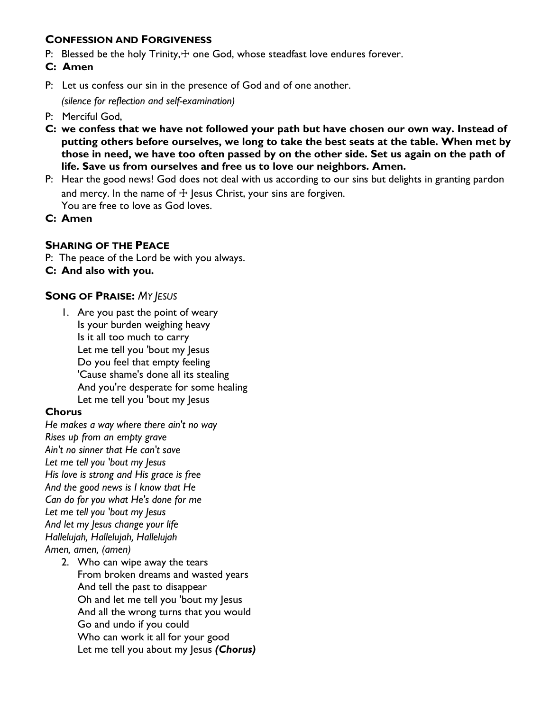## **CONFESSION AND FORGIVENESS**

- P: Blessed be the holy Trinity, $+$  one God, whose steadfast love endures forever.
- **C: Amen**
- P: Let us confess our sin in the presence of God and of one another.

*(silence for reflection and self-examination)*

- P: Merciful God,
- **C: we confess that we have not followed your path but have chosen our own way. Instead of putting others before ourselves, we long to take the best seats at the table. When met by those in need, we have too often passed by on the other side. Set us again on the path of life. Save us from ourselves and free us to love our neighbors. Amen.**
- P: Hear the good news! God does not deal with us according to our sins but delights in granting pardon and mercy. In the name of  $\pm$  Jesus Christ, your sins are forgiven. You are free to love as God loves.
- **C: Amen**

### **SHARING OF THE PEACE**

- P: The peace of the Lord be with you always.
- **C: And also with you.**

### **SONG OF PRAISE:** *MY JESUS*

1. Are you past the point of weary Is your burden weighing heavy Is it all too much to carry Let me tell you 'bout my Jesus Do you feel that empty feeling 'Cause shame's done all its stealing And you're desperate for some healing Let me tell you 'bout my Jesus

### **Chorus**

*He makes a way where there ain't no way Rises up from an empty grave Ain't no sinner that He can't save Let me tell you 'bout my Jesus His love is strong and His grace is free And the good news is I know that He Can do for you what He's done for me Let me tell you 'bout my Jesus And let my Jesus change your life Hallelujah, Hallelujah, Hallelujah Amen, amen, (amen)*

2. Who can wipe away the tears From broken dreams and wasted years And tell the past to disappear Oh and let me tell you 'bout my Jesus And all the wrong turns that you would Go and undo if you could Who can work it all for your good Let me tell you about my Jesus *(Chorus)*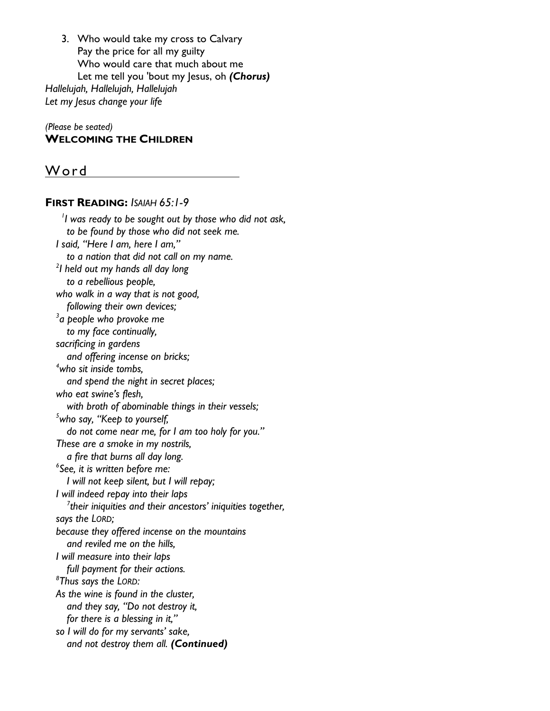3. Who would take my cross to Calvary Pay the price for all my guilty Who would care that much about me Let me tell you 'bout my Jesus, oh *(Chorus) Hallelujah, Hallelujah, Hallelujah Let my Jesus change your life*

*(Please be seated)* **WELCOMING THE CHILDREN**

Word

#### **FIRST READING:** *ISAIAH 65:1-9*

*1 I was ready to be sought out by those who did not ask, to be found by those who did not seek me. I said, "Here I am, here I am," to a nation that did not call on my name. 2 I held out my hands all day long to a rebellious people, who walk in a way that is not good, following their own devices; 3 a people who provoke me to my face continually, sacrificing in gardens and offering incense on bricks; <sup>4</sup>who sit inside tombs, and spend the night in secret places; who eat swine's flesh, with broth of abominable things in their vessels; <sup>5</sup>who say, "Keep to yourself, do not come near me, for I am too holy for you." These are a smoke in my nostrils, a fire that burns all day long. 6 See, it is written before me: I will not keep silent, but I will repay; I will indeed repay into their laps 7 their iniquities and their ancestors' iniquities together, says the LORD; because they offered incense on the mountains and reviled me on the hills, I will measure into their laps full payment for their actions. 8 Thus says the LORD: As the wine is found in the cluster, and they say, "Do not destroy it, for there is a blessing in it," so I will do for my servants' sake, and not destroy them all. (Continued)*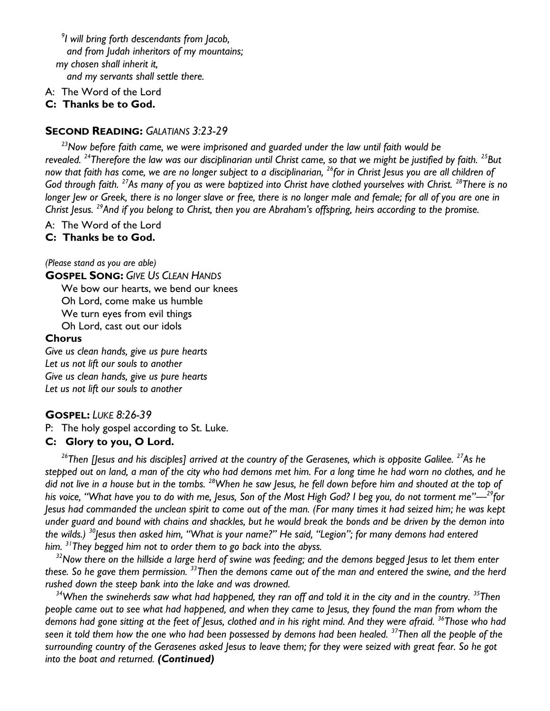*9 I will bring forth descendants from Jacob, and from Judah inheritors of my mountains; my chosen shall inherit it, and my servants shall settle there.*

A: The Word of the Lord

**C: Thanks be to God.**

## **SECOND READING:** *GALATIANS 3:23-29*

*<sup>23</sup>Now before faith came, we were imprisoned and guarded under the law until faith would be revealed. <sup>24</sup>Therefore the law was our disciplinarian until Christ came, so that we might be justified by faith. <sup>25</sup>But now that faith has come, we are no longer subject to a disciplinarian, <sup>26</sup>for in Christ Jesus you are all children of God through faith. <sup>27</sup>As many of you as were baptized into Christ have clothed yourselves with Christ. <sup>28</sup>There is no*  longer Jew or Greek, there is no longer slave or free, there is no longer male and female; for all of you are one in *Christ Jesus. <sup>29</sup>And if you belong to Christ, then you are Abraham's offspring, heirs according to the promise.*

A: The Word of the Lord

**C: Thanks be to God.**

*(Please stand as you are able)*

**GOSPEL SONG:** *GIVE US CLEAN HANDS* We bow our hearts, we bend our knees Oh Lord, come make us humble We turn eyes from evil things Oh Lord, cast out our idols

#### **Chorus**

*Give us clean hands, give us pure hearts Let us not lift our souls to another Give us clean hands, give us pure hearts Let us not lift our souls to another*

#### **GOSPEL:** *LUKE 8:26-39*

P: The holy gospel according to St. Luke.

#### **C: Glory to you, O Lord.**

*<sup>26</sup>Then [Jesus and his disciples] arrived at the country of the Gerasenes, which is opposite Galilee. <sup>27</sup>As he stepped out on land, a man of the city who had demons met him. For a long time he had worn no clothes, and he did not live in a house but in the tombs. <sup>28</sup>When he saw Jesus, he fell down before him and shouted at the top of his voice, "What have you to do with me, Jesus, Son of the Most High God? I beg you, do not torment me"—<sup>29</sup>for Jesus had commanded the unclean spirit to come out of the man. (For many times it had seized him; he was kept under guard and bound with chains and shackles, but he would break the bonds and be driven by the demon into the wilds.) <sup>30</sup>Jesus then asked him, "What is your name?" He said, "Legion"; for many demons had entered him. <sup>31</sup>They begged him not to order them to go back into the abyss.*

*<sup>32</sup>Now there on the hillside a large herd of swine was feeding; and the demons begged Jesus to let them enter these. So he gave them permission. <sup>33</sup>Then the demons came out of the man and entered the swine, and the herd rushed down the steep bank into the lake and was drowned.*

*<sup>34</sup>When the swineherds saw what had happened, they ran off and told it in the city and in the country. <sup>35</sup>Then people came out to see what had happened, and when they came to Jesus, they found the man from whom the demons had gone sitting at the feet of Jesus, clothed and in his right mind. And they were afraid. <sup>36</sup>Those who had seen it told them how the one who had been possessed by demons had been healed. <sup>37</sup>Then all the people of the surrounding country of the Gerasenes asked Jesus to leave them; for they were seized with great fear. So he got into the boat and returned. (Continued)*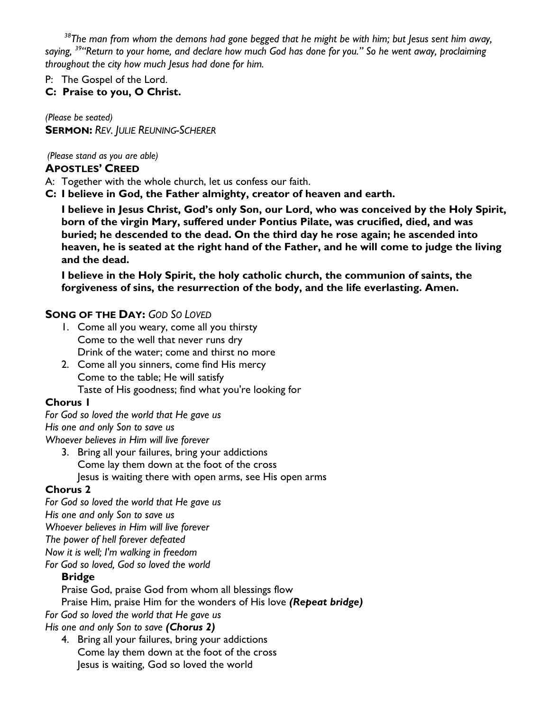*<sup>38</sup>The man from whom the demons had gone begged that he might be with him; but Jesus sent him away, saying, <sup>39</sup>"Return to your home, and declare how much God has done for you." So he went away, proclaiming throughout the city how much Jesus had done for him.*

P: The Gospel of the Lord.

## **C: Praise to you, O Christ.**

*(Please be seated)* **SERMON:** *REV. JULIE REUNING-SCHERER*

*(Please stand as you are able)*

## **APOSTLES' CREED**

A: Together with the whole church, let us confess our faith.

**C: I believe in God, the Father almighty, creator of heaven and earth.**

**I believe in Jesus Christ, God's only Son, our Lord, who was conceived by the Holy Spirit, born of the virgin Mary, suffered under Pontius Pilate, was crucified, died, and was buried; he descended to the dead. On the third day he rose again; he ascended into heaven, he is seated at the right hand of the Father, and he will come to judge the living and the dead.**

**I believe in the Holy Spirit, the holy catholic church, the communion of saints, the forgiveness of sins, the resurrection of the body, and the life everlasting. Amen.**

## **SONG OF THE DAY:** *GOD SO LOVED*

- 1. Come all you weary, come all you thirsty Come to the well that never runs dry Drink of the water; come and thirst no more
- 2. Come all you sinners, come find His mercy Come to the table; He will satisfy Taste of His goodness; find what you're looking for

### **Chorus 1**

*For God so loved the world that He gave us His one and only Son to save us Whoever believes in Him will live forever*

3. Bring all your failures, bring your addictions Come lay them down at the foot of the cross Jesus is waiting there with open arms, see His open arms

### **Chorus 2**

*For God so loved the world that He gave us*

*His one and only Son to save us*

*Whoever believes in Him will live forever*

*The power of hell forever defeated*

*Now it is well; I'm walking in freedom*

*For God so loved, God so loved the world*

## **Bridge**

Praise God, praise God from whom all blessings flow

Praise Him, praise Him for the wonders of His love *(Repeat bridge)*

*For God so loved the world that He gave us*

*His one and only Son to save (Chorus 2)*

4. Bring all your failures, bring your addictions Come lay them down at the foot of the cross Jesus is waiting, God so loved the world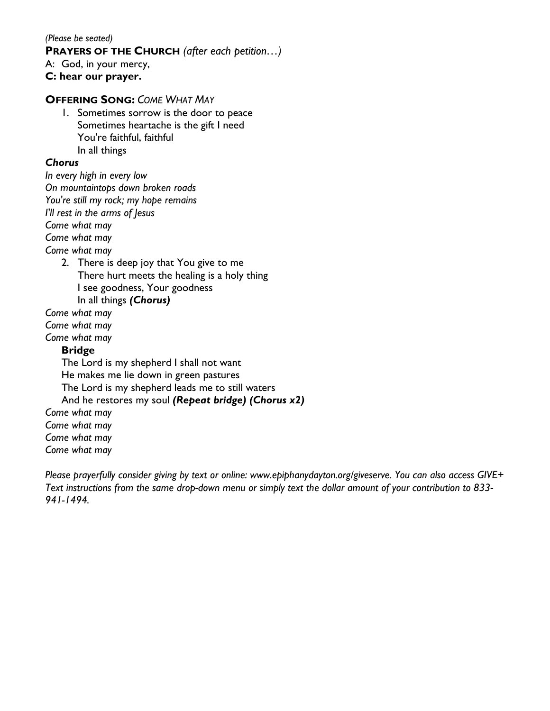#### *(Please be seated)*

#### **PRAYERS OF THE CHURCH** *(after each petition…)*

A: God, in your mercy,

**C: hear our prayer.** 

#### **OFFERING SONG:** *COME WHAT MAY*

1. Sometimes sorrow is the door to peace Sometimes heartache is the gift I need You're faithful, faithful In all things

## *Chorus*

*In every high in every low On mountaintops down broken roads You're still my rock; my hope remains I'll rest in the arms of Jesus*

*Come what may*

*Come what may*

*Come what may*

2. There is deep joy that You give to me There hurt meets the healing is a holy thing I see goodness, Your goodness In all things *(Chorus)*

*Come what may Come what may*

*Come what may*

#### **Bridge**

The Lord is my shepherd I shall not want He makes me lie down in green pastures The Lord is my shepherd leads me to still waters And he restores my soul *(Repeat bridge) (Chorus x2) Come what may Come what may*

*Come what may*

*Come what may*

*Please prayerfully consider giving by text or online: www.epiphanydayton.org/giveserve. You can also access GIVE+ Text instructions from the same drop-down menu or simply text the dollar amount of your contribution to 833- 941-1494.*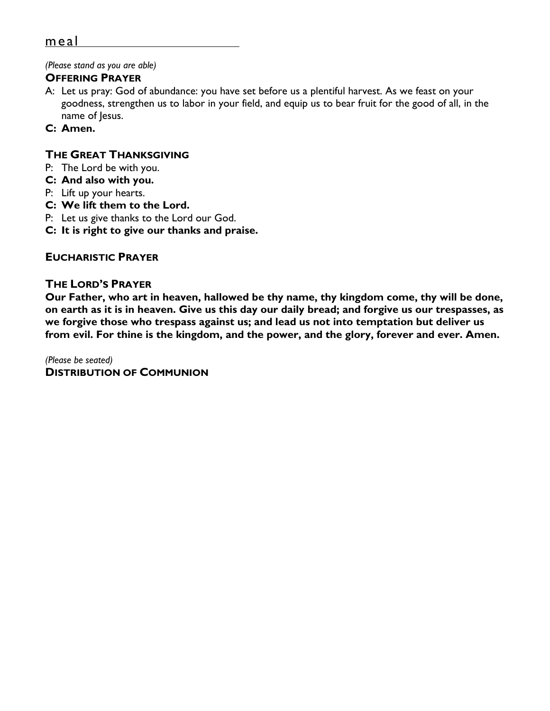```
meal
```
*(Please stand as you are able)*

## **OFFERING PRAYER**

- A: Let us pray: God of abundance: you have set before us a plentiful harvest. As we feast on your goodness, strengthen us to labor in your field, and equip us to bear fruit for the good of all, in the name of lesus.
- **C: Amen.**

## **THE GREAT THANKSGIVING**

- P: The Lord be with you.
- **C: And also with you.**
- P: Lift up your hearts.
- **C: We lift them to the Lord.**
- P: Let us give thanks to the Lord our God.
- **C: It is right to give our thanks and praise.**

## **EUCHARISTIC PRAYER**

## **THE LORD'S PRAYER**

**Our Father, who art in heaven, hallowed be thy name, thy kingdom come, thy will be done, on earth as it is in heaven. Give us this day our daily bread; and forgive us our trespasses, as we forgive those who trespass against us; and lead us not into temptation but deliver us from evil. For thine is the kingdom, and the power, and the glory, forever and ever. Amen.**

*(Please be seated)* **DISTRIBUTION OF COMMUNION**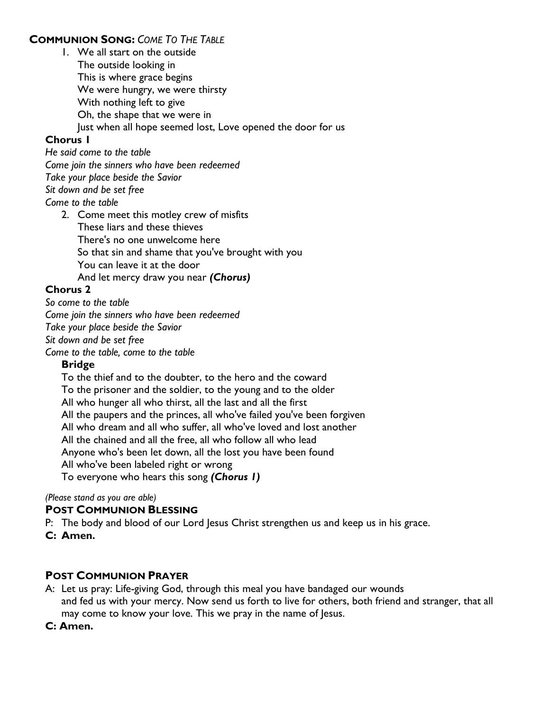## **COMMUNION SONG:** *COME TO THE TABLE*

1. We all start on the outside The outside looking in This is where grace begins We were hungry, we were thirsty With nothing left to give Oh, the shape that we were in Just when all hope seemed lost, Love opened the door for us

## **Chorus 1**

*He said come to the table*

*Come join the sinners who have been redeemed*

*Take your place beside the Savior*

*Sit down and be set free*

*Come to the table*

2. Come meet this motley crew of misfits These liars and these thieves There's no one unwelcome here So that sin and shame that you've brought with you You can leave it at the door And let mercy draw you near *(Chorus)*

### **Chorus 2**

*So come to the table Come join the sinners who have been redeemed Take your place beside the Savior Sit down and be set free Come to the table, come to the table*

### **Bridge**

To the thief and to the doubter, to the hero and the coward To the prisoner and the soldier, to the young and to the older All who hunger all who thirst, all the last and all the first All the paupers and the princes, all who've failed you've been forgiven All who dream and all who suffer, all who've loved and lost another All the chained and all the free, all who follow all who lead Anyone who's been let down, all the lost you have been found All who've been labeled right or wrong To everyone who hears this song *(Chorus 1)*

### *(Please stand as you are able)*

## **POST COMMUNION BLESSING**

P: The body and blood of our Lord Jesus Christ strengthen us and keep us in his grace.

**C: Amen.**

## **POST COMMUNION PRAYER**

A: Let us pray: Life-giving God, through this meal you have bandaged our wounds and fed us with your mercy. Now send us forth to live for others, both friend and stranger, that all may come to know your love. This we pray in the name of Jesus.

**C: Amen.**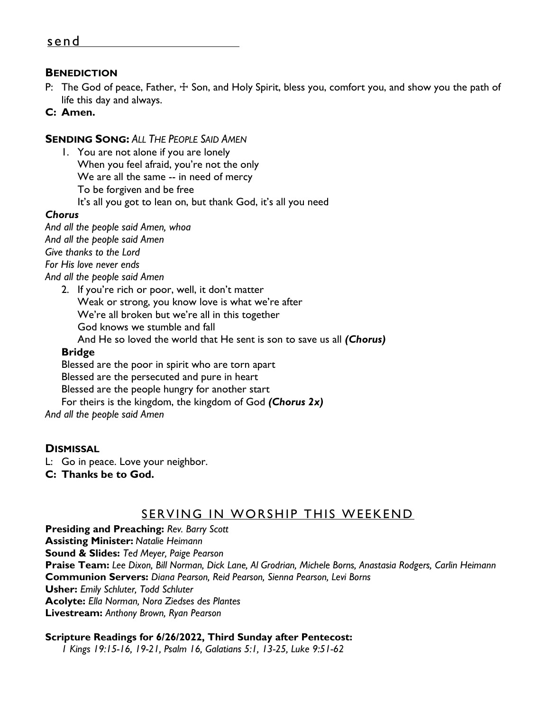## **BENEDICTION**

- P: The God of peace, Father,  $\pm$  Son, and Holy Spirit, bless you, comfort you, and show you the path of life this day and always.
- **C: Amen.**

## **SENDING SONG:** *ALL THE PEOPLE SAID AMEN*

1. You are not alone if you are lonely When you feel afraid, you're not the only We are all the same -- in need of mercy To be forgiven and be free It's all you got to lean on, but thank God, it's all you need

#### *Chorus*

*And all the people said Amen, whoa*

*And all the people said Amen*

*Give thanks to the Lord*

*For His love never ends*

*And all the people said Amen*

2. If you're rich or poor, well, it don't matter Weak or strong, you know love is what we're after We're all broken but we're all in this together God knows we stumble and fall

And He so loved the world that He sent is son to save us all *(Chorus)*

#### **Bridge**

Blessed are the poor in spirit who are torn apart Blessed are the persecuted and pure in heart Blessed are the people hungry for another start For theirs is the kingdom, the kingdom of God *(Chorus 2x) And all the people said Amen*

### **DISMISSAL**

L: Go in peace. Love your neighbor.

**C: Thanks be to God.**

# SERVING IN WORSHIP THIS WEEKEND

**Presiding and Preaching:** *Rev. Barry Scott* **Assisting Minister:** *Natalie Heimann* **Sound & Slides:** *Ted Meyer, Paige Pearson* **Praise Team:** *Lee Dixon, Bill Norman, Dick Lane, Al Grodrian, Michele Borns, Anastasia Rodgers, Carlin Heimann* **Communion Servers:** *Diana Pearson, Reid Pearson, Sienna Pearson, Levi Borns* **Usher:** *Emily Schluter, Todd Schluter* **Acolyte:** *Ella Norman, Nora Ziedses des Plantes* **Livestream:** *Anthony Brown, Ryan Pearson*

## **Scripture Readings for 6/26/2022, Third Sunday after Pentecost:**

*1 Kings 19:15-16, 19-21, Psalm 16, Galatians 5:1, 13-25, Luke 9:51-62*